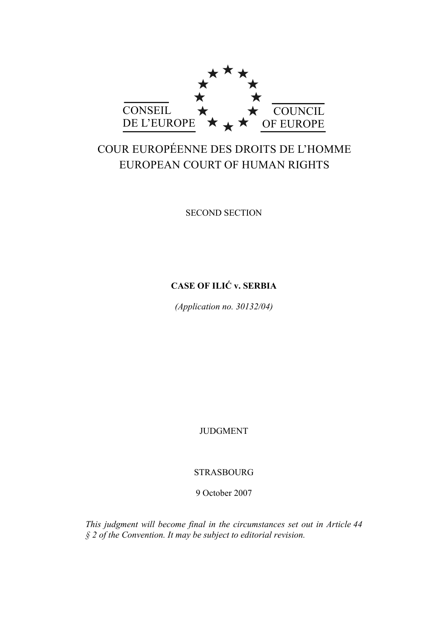

# COUR EUROPÉENNE DES DROITS DE L'HOMME EUROPEAN COURT OF HUMAN RIGHTS

SECOND SECTION

# **CASE OF ILIĆ v. SERBIA**

*(Application no. 30132/04)* 

JUDGMENT

STRASBOURG

9 October 2007

*This judgment will become final in the circumstances set out in Article 44 § 2 of the Convention. It may be subject to editorial revision.*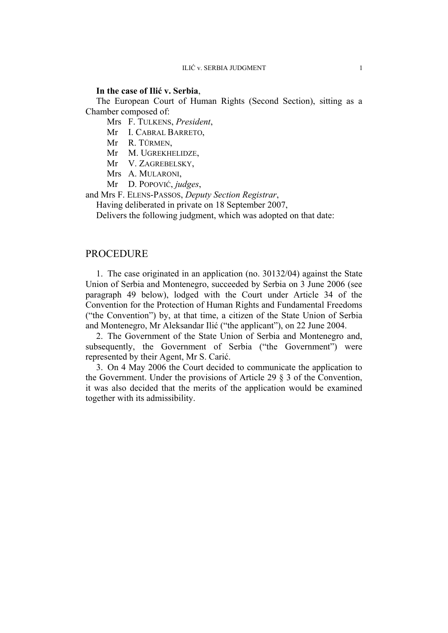#### **In the case of Ilić v. Serbia**,

The European Court of Human Rights (Second Section), sitting as a Chamber composed of:

Mrs F. TULKENS, *President*,

Mr I. CABRAL BARRETO,

Mr R. TÜRMEN,

Mr M. UGREKHELIDZE,

Mr V. ZAGREBELSKY,

Mrs A. MULARONI,

Mr D. POPOVIĆ, *judges*,

and Mrs F. ELENS-PASSOS, *Deputy Section Registrar*,

Having deliberated in private on 18 September 2007,

Delivers the following judgment, which was adopted on that date:

## PROCEDURE

1. The case originated in an application (no. 30132/04) against the State Union of Serbia and Montenegro, succeeded by Serbia on 3 June 2006 (see paragraph 49 below), lodged with the Court under Article 34 of the Convention for the Protection of Human Rights and Fundamental Freedoms ("the Convention") by, at that time, a citizen of the State Union of Serbia and Montenegro, Mr Aleksandar Ilić ("the applicant"), on 22 June 2004.

2. The Government of the State Union of Serbia and Montenegro and, subsequently, the Government of Serbia ("the Government") were represented by their Agent, Mr S. Carić.

3. On 4 May 2006 the Court decided to communicate the application to the Government. Under the provisions of Article 29 § 3 of the Convention, it was also decided that the merits of the application would be examined together with its admissibility.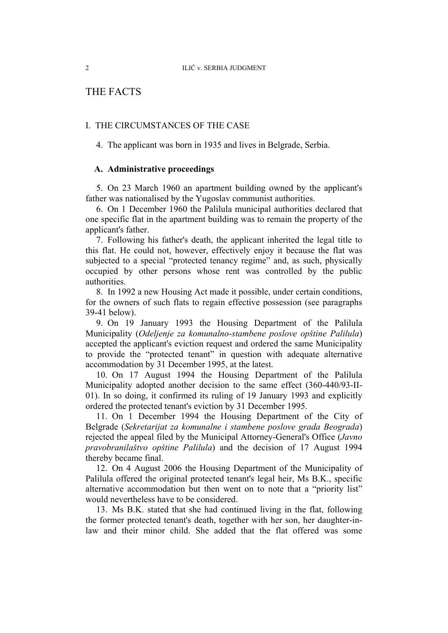# THE FACTS

## I. THE CIRCUMSTANCES OF THE CASE

4. The applicant was born in 1935 and lives in Belgrade, Serbia.

## **A. Administrative proceedings**

5. On 23 March 1960 an apartment building owned by the applicant's father was nationalised by the Yugoslav communist authorities.

6. On 1 December 1960 the Palilula municipal authorities declared that one specific flat in the apartment building was to remain the property of the applicant's father.

7. Following his father's death, the applicant inherited the legal title to this flat. He could not, however, effectively enjoy it because the flat was subjected to a special "protected tenancy regime" and, as such, physically occupied by other persons whose rent was controlled by the public authorities.

8. In 1992 a new Housing Act made it possible, under certain conditions, for the owners of such flats to regain effective possession (see paragraphs 39-41 below).

9. On 19 January 1993 the Housing Department of the Palilula Municipality (*Odeljenje za komunalno-stambene poslove opštine Palilula*) accepted the applicant's eviction request and ordered the same Municipality to provide the "protected tenant" in question with adequate alternative accommodation by 31 December 1995, at the latest.

10. On 17 August 1994 the Housing Department of the Palilula Municipality adopted another decision to the same effect (360-440/93-II-01). In so doing, it confirmed its ruling of 19 January 1993 and explicitly ordered the protected tenant's eviction by 31 December 1995.

11. On 1 December 1994 the Housing Department of the City of Belgrade (*Sekretarijat za komunalne i stambene poslove grada Beograda*) rejected the appeal filed by the Municipal Attorney-General's Office (*Javno pravobranilaštvo opštine Palilula*) and the decision of 17 August 1994 thereby became final.

12. On 4 August 2006 the Housing Department of the Municipality of Palilula offered the original protected tenant's legal heir, Ms B.K., specific alternative accommodation but then went on to note that a "priority list" would nevertheless have to be considered.

13. Ms B.K. stated that she had continued living in the flat, following the former protected tenant's death, together with her son, her daughter-inlaw and their minor child. She added that the flat offered was some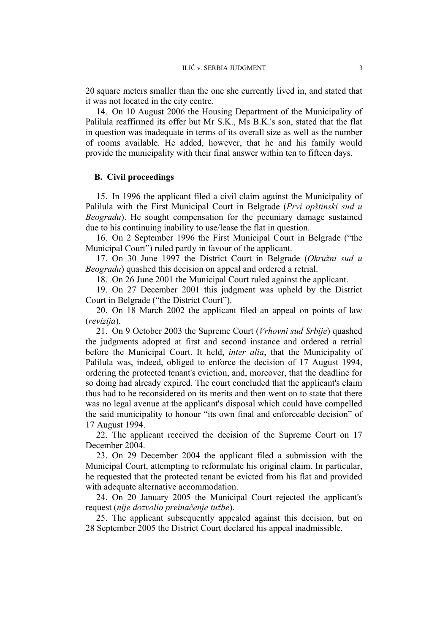20 square meters smaller than the one she currently lived in, and stated that it was not located in the city centre.

14. On 10 August 2006 the Housing Department of the Municipality of Palilula reaffirmed its offer but Mr S.K., Ms B.K.'s son, stated that the flat in question was inadequate in terms of its overall size as well as the number of rooms available. He added, however, that he and his family would provide the municipality with their final answer within ten to fifteen days.

## **B. Civil proceedings**

15. In 1996 the applicant filed a civil claim against the Municipality of Palilula with the First Municipal Court in Belgrade (*Prvi opštinski sud u Beogradu*). He sought compensation for the pecuniary damage sustained due to his continuing inability to use/lease the flat in question.

16. On 2 September 1996 the First Municipal Court in Belgrade ("the Municipal Court") ruled partly in favour of the applicant.

17. On 30 June 1997 the District Court in Belgrade (*Okružni sud u Beogradu*) quashed this decision on appeal and ordered a retrial.

18. On 26 June 2001 the Municipal Court ruled against the applicant.

19. On 27 December 2001 this judgment was upheld by the District Court in Belgrade ("the District Court").

20. On 18 March 2002 the applicant filed an appeal on points of law (*revizija*).

21. On 9 October 2003 the Supreme Court (*Vrhovni sud Srbije*) quashed the judgments adopted at first and second instance and ordered a retrial before the Municipal Court. It held, *inter alia*, that the Municipality of Palilula was, indeed, obliged to enforce the decision of 17 August 1994, ordering the protected tenant's eviction, and, moreover, that the deadline for so doing had already expired. The court concluded that the applicant's claim thus had to be reconsidered on its merits and then went on to state that there was no legal avenue at the applicant's disposal which could have compelled the said municipality to honour "its own final and enforceable decision" of 17 August 1994.

22. The applicant received the decision of the Supreme Court on 17 December 2004.

23. On 29 December 2004 the applicant filed a submission with the Municipal Court, attempting to reformulate his original claim. In particular, he requested that the protected tenant be evicted from his flat and provided with adequate alternative accommodation.

24. On 20 January 2005 the Municipal Court rejected the applicant's request (*nije dozvolio preinačenje tužbe*).

25. The applicant subsequently appealed against this decision, but on 28 September 2005 the District Court declared his appeal inadmissible.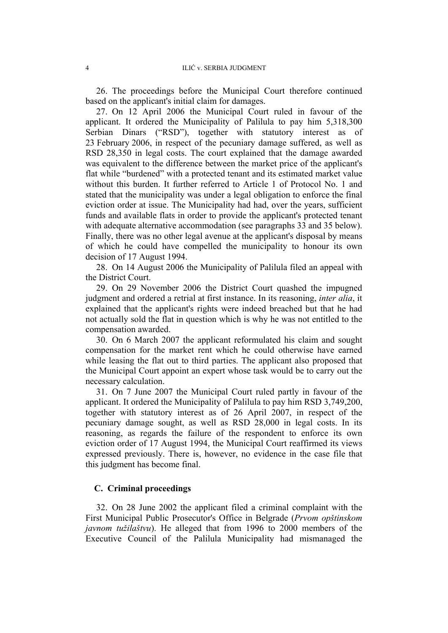26. The proceedings before the Municipal Court therefore continued based on the applicant's initial claim for damages.

27. On 12 April 2006 the Municipal Court ruled in favour of the applicant. It ordered the Municipality of Palilula to pay him 5,318,300 Serbian Dinars ("RSD"), together with statutory interest as of 23 February 2006, in respect of the pecuniary damage suffered, as well as RSD 28,350 in legal costs. The court explained that the damage awarded was equivalent to the difference between the market price of the applicant's flat while "burdened" with a protected tenant and its estimated market value without this burden. It further referred to Article 1 of Protocol No. 1 and stated that the municipality was under a legal obligation to enforce the final eviction order at issue. The Municipality had had, over the years, sufficient funds and available flats in order to provide the applicant's protected tenant with adequate alternative accommodation (see paragraphs 33 and 35 below). Finally, there was no other legal avenue at the applicant's disposal by means of which he could have compelled the municipality to honour its own decision of 17 August 1994.

28. On 14 August 2006 the Municipality of Palilula filed an appeal with the District Court.

29. On 29 November 2006 the District Court quashed the impugned judgment and ordered a retrial at first instance. In its reasoning, *inter alia*, it explained that the applicant's rights were indeed breached but that he had not actually sold the flat in question which is why he was not entitled to the compensation awarded.

30. On 6 March 2007 the applicant reformulated his claim and sought compensation for the market rent which he could otherwise have earned while leasing the flat out to third parties. The applicant also proposed that the Municipal Court appoint an expert whose task would be to carry out the necessary calculation.

31. On 7 June 2007 the Municipal Court ruled partly in favour of the applicant. It ordered the Municipality of Palilula to pay him RSD 3,749,200, together with statutory interest as of 26 April 2007, in respect of the pecuniary damage sought, as well as RSD 28,000 in legal costs. In its reasoning, as regards the failure of the respondent to enforce its own eviction order of 17 August 1994, the Municipal Court reaffirmed its views expressed previously. There is, however, no evidence in the case file that this judgment has become final.

## **C. Criminal proceedings**

32. On 28 June 2002 the applicant filed a criminal complaint with the First Municipal Public Prosecutor's Office in Belgrade (*Prvom opštinskom javnom tužilaštvu*). He alleged that from 1996 to 2000 members of the Executive Council of the Palilula Municipality had mismanaged the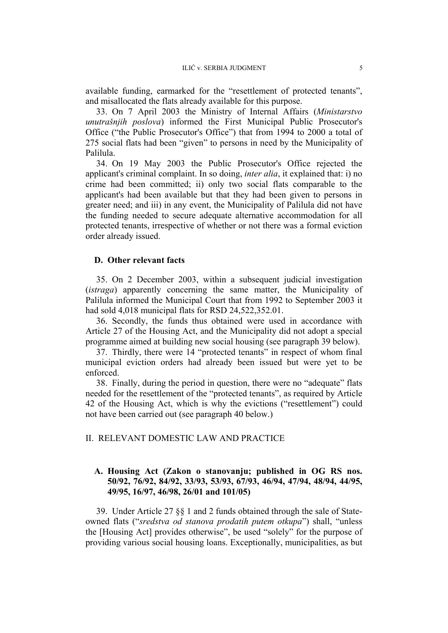available funding, earmarked for the "resettlement of protected tenants", and misallocated the flats already available for this purpose.

33. On 7 April 2003 the Ministry of Internal Affairs (*Ministarstvo unutrašnjih poslova*) informed the First Municipal Public Prosecutor's Office ("the Public Prosecutor's Office") that from 1994 to 2000 a total of 275 social flats had been "given" to persons in need by the Municipality of Palilula.

34. On 19 May 2003 the Public Prosecutor's Office rejected the applicant's criminal complaint. In so doing, *inter alia*, it explained that: i) no crime had been committed; ii) only two social flats comparable to the applicant's had been available but that they had been given to persons in greater need; and iii) in any event, the Municipality of Palilula did not have the funding needed to secure adequate alternative accommodation for all protected tenants, irrespective of whether or not there was a formal eviction order already issued.

## **D. Other relevant facts**

35. On 2 December 2003, within a subsequent judicial investigation (*istraga*) apparently concerning the same matter, the Municipality of Palilula informed the Municipal Court that from 1992 to September 2003 it had sold 4,018 municipal flats for RSD 24,522,352.01.

36. Secondly, the funds thus obtained were used in accordance with Article 27 of the Housing Act, and the Municipality did not adopt a special programme aimed at building new social housing (see paragraph 39 below).

37. Thirdly, there were 14 "protected tenants" in respect of whom final municipal eviction orders had already been issued but were yet to be enforced.

38. Finally, during the period in question, there were no "adequate" flats needed for the resettlement of the "protected tenants", as required by Article 42 of the Housing Act, which is why the evictions ("resettlement") could not have been carried out (see paragraph 40 below.)

## II. RELEVANT DOMESTIC LAW AND PRACTICE

## **A. Housing Act (Zakon o stanovanju; published in OG RS nos. 50/92, 76/92, 84/92, 33/93, 53/93, 67/93, 46/94, 47/94, 48/94, 44/95, 49/95, 16/97, 46/98, 26/01 and 101/05)**

39. Under Article 27 §§ 1 and 2 funds obtained through the sale of Stateowned flats ("*sredstva od stanova prodatih putem otkupa*") shall, "unless the [Housing Act] provides otherwise", be used "solely" for the purpose of providing various social housing loans. Exceptionally, municipalities, as but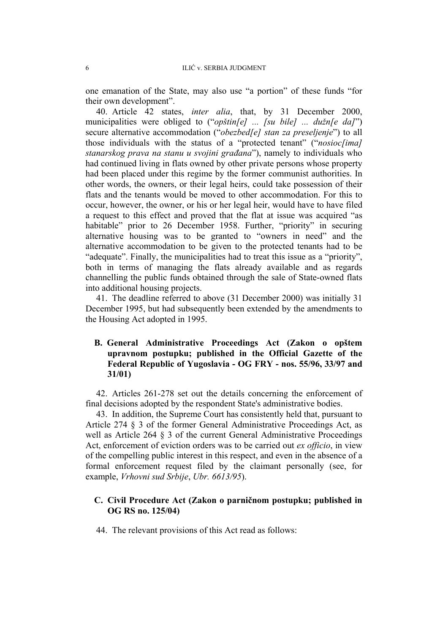one emanation of the State, may also use "a portion" of these funds "for their own development".

40. Article 42 states, *inter alia*, that, by 31 December 2000, municipalities were obliged to ("*opštin[e] ... [su bile] ... dužn[e da]*") secure alternative accommodation ("*obezbed[e] stan za preseljenje*") to all those individuals with the status of a "protected tenant" ("*nosioc[ima] stanarskog prava na stanu u svojini građana*"), namely to individuals who had continued living in flats owned by other private persons whose property had been placed under this regime by the former communist authorities. In other words, the owners, or their legal heirs, could take possession of their flats and the tenants would be moved to other accommodation. For this to occur, however, the owner, or his or her legal heir, would have to have filed a request to this effect and proved that the flat at issue was acquired "as habitable" prior to 26 December 1958. Further, "priority" in securing alternative housing was to be granted to "owners in need" and the alternative accommodation to be given to the protected tenants had to be "adequate". Finally, the municipalities had to treat this issue as a "priority", both in terms of managing the flats already available and as regards channelling the public funds obtained through the sale of State-owned flats into additional housing projects.

41. The deadline referred to above (31 December 2000) was initially 31 December 1995, but had subsequently been extended by the amendments to the Housing Act adopted in 1995.

# **B. General Administrative Proceedings Act (Zakon o opštem upravnom postupku; published in the Official Gazette of the Federal Republic of Yugoslavia - OG FRY - nos. 55/96, 33/97 and 31/01)**

42. Articles 261-278 set out the details concerning the enforcement of final decisions adopted by the respondent State's administrative bodies.

43. In addition, the Supreme Court has consistently held that, pursuant to Article 274 § 3 of the former General Administrative Proceedings Act, as well as Article 264 § 3 of the current General Administrative Proceedings Act, enforcement of eviction orders was to be carried out *ex officio*, in view of the compelling public interest in this respect, and even in the absence of a formal enforcement request filed by the claimant personally (see, for example, *Vrhovni sud Srbije*, *Ubr. 6613/95*).

## **C. Civil Procedure Act (Zakon o parničnom postupku; published in OG RS no. 125/04)**

44. The relevant provisions of this Act read as follows: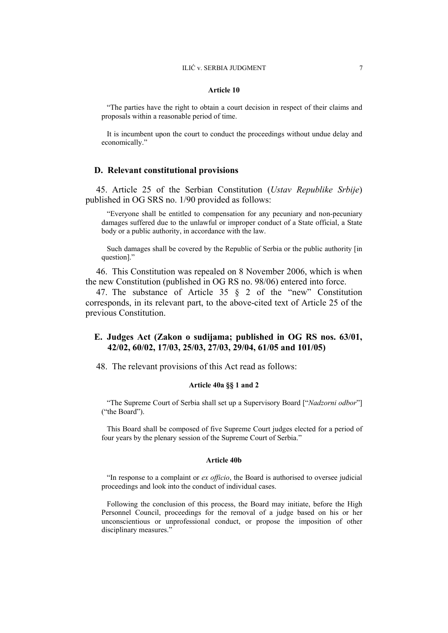#### **Article 10**

"The parties have the right to obtain a court decision in respect of their claims and proposals within a reasonable period of time.

It is incumbent upon the court to conduct the proceedings without undue delay and economically."

### **D. Relevant constitutional provisions**

45. Article 25 of the Serbian Constitution (*Ustav Republike Srbije*) published in OG SRS no. 1/90 provided as follows:

"Everyone shall be entitled to compensation for any pecuniary and non-pecuniary damages suffered due to the unlawful or improper conduct of a State official, a State body or a public authority, in accordance with the law.

Such damages shall be covered by the Republic of Serbia or the public authority [in question]."

46. This Constitution was repealed on 8 November 2006, which is when the new Constitution (published in OG RS no. 98/06) entered into force.

47. The substance of Article 35 § 2 of the "new" Constitution corresponds, in its relevant part, to the above-cited text of Article 25 of the previous Constitution.

## **E. Judges Act (Zakon o sudijama; published in OG RS nos. 63/01, 42/02, 60/02, 17/03, 25/03, 27/03, 29/04, 61/05 and 101/05)**

48. The relevant provisions of this Act read as follows:

#### **Article 40a §§ 1 and 2**

"The Supreme Court of Serbia shall set up a Supervisory Board ["*Nadzorni odbor*"] ("the Board").

This Board shall be composed of five Supreme Court judges elected for a period of four years by the plenary session of the Supreme Court of Serbia."

#### **Article 40b**

"In response to a complaint or *ex officio*, the Board is authorised to oversee judicial proceedings and look into the conduct of individual cases.

Following the conclusion of this process, the Board may initiate, before the High Personnel Council, proceedings for the removal of a judge based on his or her unconscientious or unprofessional conduct, or propose the imposition of other disciplinary measures."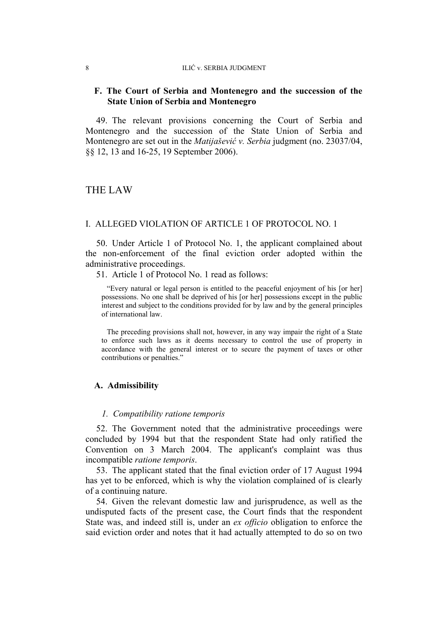#### 8 ILIĆ v. SERBIA JUDGMENT

## **F. The Court of Serbia and Montenegro and the succession of the State Union of Serbia and Montenegro**

49. The relevant provisions concerning the Court of Serbia and Montenegro and the succession of the State Union of Serbia and Montenegro are set out in the *Matijašević v. Serbia* judgment (no. 23037/04, §§ 12, 13 and 16-25, 19 September 2006).

# THE LAW

#### I. ALLEGED VIOLATION OF ARTICLE 1 OF PROTOCOL NO. 1

50. Under Article 1 of Protocol No. 1, the applicant complained about the non-enforcement of the final eviction order adopted within the administrative proceedings.

51. Article 1 of Protocol No. 1 read as follows:

"Every natural or legal person is entitled to the peaceful enjoyment of his [or her] possessions. No one shall be deprived of his [or her] possessions except in the public interest and subject to the conditions provided for by law and by the general principles of international law.

The preceding provisions shall not, however, in any way impair the right of a State to enforce such laws as it deems necessary to control the use of property in accordance with the general interest or to secure the payment of taxes or other contributions or penalties."

## **A. Admissibility**

#### *1. Compatibility ratione temporis*

52. The Government noted that the administrative proceedings were concluded by 1994 but that the respondent State had only ratified the Convention on 3 March 2004. The applicant's complaint was thus incompatible *ratione temporis*.

53. The applicant stated that the final eviction order of 17 August 1994 has yet to be enforced, which is why the violation complained of is clearly of a continuing nature.

54. Given the relevant domestic law and jurisprudence, as well as the undisputed facts of the present case, the Court finds that the respondent State was, and indeed still is, under an *ex officio* obligation to enforce the said eviction order and notes that it had actually attempted to do so on two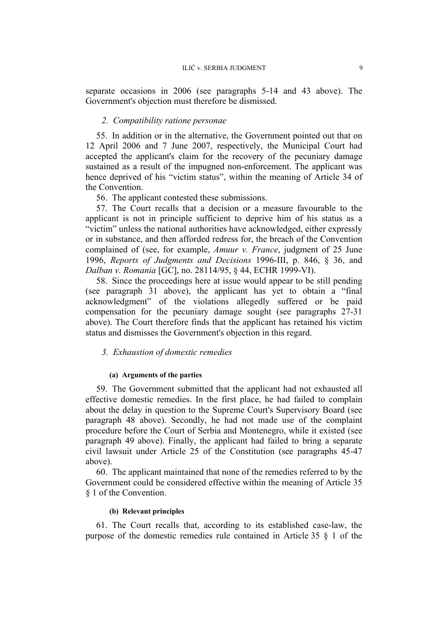separate occasions in 2006 (see paragraphs 5-14 and 43 above). The Government's objection must therefore be dismissed.

## *2. Compatibility ratione personae*

55. In addition or in the alternative, the Government pointed out that on 12 April 2006 and 7 June 2007, respectively, the Municipal Court had accepted the applicant's claim for the recovery of the pecuniary damage sustained as a result of the impugned non-enforcement. The applicant was hence deprived of his "victim status", within the meaning of Article 34 of the Convention.

56. The applicant contested these submissions.

57. The Court recalls that a decision or a measure favourable to the applicant is not in principle sufficient to deprive him of his status as a "victim" unless the national authorities have acknowledged, either expressly or in substance, and then afforded redress for, the breach of the Convention complained of (see, for example, *Amuur v. France*, judgment of 25 June 1996, *Reports of Judgments and Decisions* 1996-III, p. 846, § 36, and *Dalban v. Romania* [GC], no. 28114/95, § 44, ECHR 1999-VI).

58. Since the proceedings here at issue would appear to be still pending (see paragraph 31 above), the applicant has yet to obtain a "final acknowledgment" of the violations allegedly suffered or be paid compensation for the pecuniary damage sought (see paragraphs 27-31 above). The Court therefore finds that the applicant has retained his victim status and dismisses the Government's objection in this regard.

#### *3. Exhaustion of domestic remedies*

#### **(a) Arguments of the parties**

59. The Government submitted that the applicant had not exhausted all effective domestic remedies. In the first place, he had failed to complain about the delay in question to the Supreme Court's Supervisory Board (see paragraph 48 above). Secondly, he had not made use of the complaint procedure before the Court of Serbia and Montenegro, while it existed (see paragraph 49 above). Finally, the applicant had failed to bring a separate civil lawsuit under Article 25 of the Constitution (see paragraphs 45-47 above).

60. The applicant maintained that none of the remedies referred to by the Government could be considered effective within the meaning of Article 35 § 1 of the Convention.

#### **(b) Relevant principles**

61. The Court recalls that, according to its established case-law, the purpose of the domestic remedies rule contained in Article 35 § 1 of the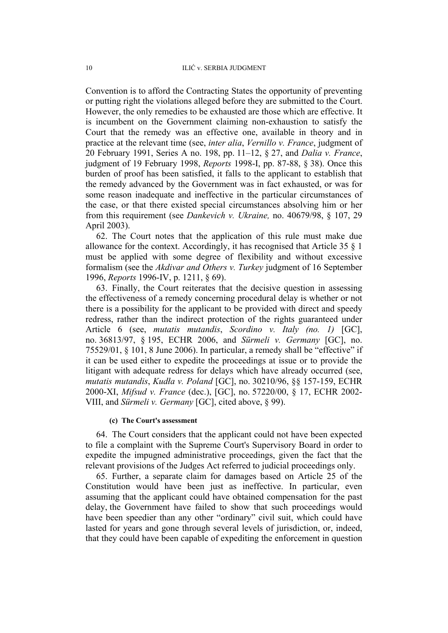Convention is to afford the Contracting States the opportunity of preventing or putting right the violations alleged before they are submitted to the Court. However, the only remedies to be exhausted are those which are effective. It is incumbent on the Government claiming non-exhaustion to satisfy the Court that the remedy was an effective one, available in theory and in practice at the relevant time (see, *inter alia*, *Vernillo v. France*, judgment of 20 February 1991, Series A no. 198, pp. 11–12, § 27, and *Dalia v. France*, judgment of 19 February 1998, *Reports* 1998-I, pp. 87-88, § 38). Once this burden of proof has been satisfied, it falls to the applicant to establish that the remedy advanced by the Government was in fact exhausted, or was for some reason inadequate and ineffective in the particular circumstances of the case, or that there existed special circumstances absolving him or her from this requirement (see *Dankevich v. Ukraine,* no. 40679/98, § 107, 29 April 2003).

62. The Court notes that the application of this rule must make due allowance for the context. Accordingly, it has recognised that Article 35 § 1 must be applied with some degree of flexibility and without excessive formalism (see the *Akdivar and Others v. Turkey* judgment of 16 September 1996, *Reports* 1996-IV, p. 1211, § 69).

63. Finally, the Court reiterates that the decisive question in assessing the effectiveness of a remedy concerning procedural delay is whether or not there is a possibility for the applicant to be provided with direct and speedy redress, rather than the indirect protection of the rights guaranteed under Article 6 (see, *mutatis mutandis*, *Scordino v. Italy (no. 1)* [GC], no. 36813/97, § 195, ECHR 2006, and *Sürmeli v. Germany* [GC], no. 75529/01, § 101, 8 June 2006). In particular, a remedy shall be "effective" if it can be used either to expedite the proceedings at issue or to provide the litigant with adequate redress for delays which have already occurred (see, *mutatis mutandis*, *Kudła v. Poland* [GC], no. 30210/96, §§ 157-159, ECHR 2000-XI, *Mifsud v. France* (dec.), [GC], no. 57220/00, § 17, ECHR 2002- VIII, and *Sürmeli v. Germany* [GC], cited above, § 99).

#### **(c) The Court's assessment**

64. The Court considers that the applicant could not have been expected to file a complaint with the Supreme Court's Supervisory Board in order to expedite the impugned administrative proceedings, given the fact that the relevant provisions of the Judges Act referred to judicial proceedings only.

65. Further, a separate claim for damages based on Article 25 of the Constitution would have been just as ineffective. In particular, even assuming that the applicant could have obtained compensation for the past delay, the Government have failed to show that such proceedings would have been speedier than any other "ordinary" civil suit, which could have lasted for years and gone through several levels of jurisdiction, or, indeed, that they could have been capable of expediting the enforcement in question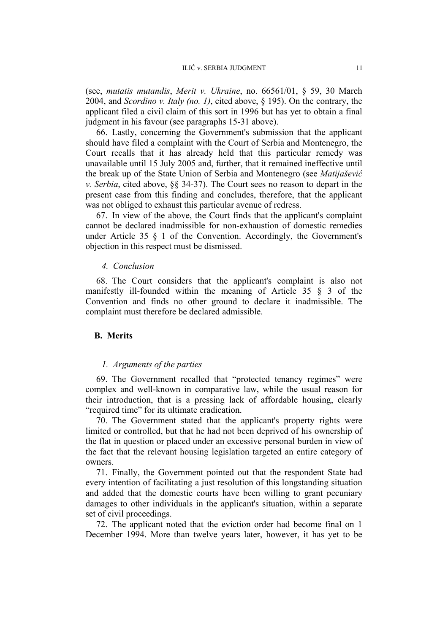(see, *mutatis mutandis*, *Merit v. Ukraine*, no. 66561/01, § 59, 30 March 2004, and *Scordino v. Italy (no. 1)*, cited above, § 195). On the contrary, the applicant filed a civil claim of this sort in 1996 but has yet to obtain a final judgment in his favour (see paragraphs 15-31 above).

66. Lastly, concerning the Government's submission that the applicant should have filed a complaint with the Court of Serbia and Montenegro, the Court recalls that it has already held that this particular remedy was unavailable until 15 July 2005 and, further, that it remained ineffective until the break up of the State Union of Serbia and Montenegro (see *Matijašević v. Serbia*, cited above, §§ 34-37). The Court sees no reason to depart in the present case from this finding and concludes, therefore, that the applicant was not obliged to exhaust this particular avenue of redress.

67. In view of the above, the Court finds that the applicant's complaint cannot be declared inadmissible for non-exhaustion of domestic remedies under Article 35 § 1 of the Convention. Accordingly, the Government's objection in this respect must be dismissed.

#### *4. Conclusion*

68. The Court considers that the applicant's complaint is also not manifestly ill-founded within the meaning of Article 35 § 3 of the Convention and finds no other ground to declare it inadmissible. The complaint must therefore be declared admissible.

#### **B. Merits**

#### *1. Arguments of the parties*

69. The Government recalled that "protected tenancy regimes" were complex and well-known in comparative law, while the usual reason for their introduction, that is a pressing lack of affordable housing, clearly "required time" for its ultimate eradication.

70. The Government stated that the applicant's property rights were limited or controlled, but that he had not been deprived of his ownership of the flat in question or placed under an excessive personal burden in view of the fact that the relevant housing legislation targeted an entire category of owners.

71. Finally, the Government pointed out that the respondent State had every intention of facilitating a just resolution of this longstanding situation and added that the domestic courts have been willing to grant pecuniary damages to other individuals in the applicant's situation, within a separate set of civil proceedings.

72. The applicant noted that the eviction order had become final on 1 December 1994. More than twelve years later, however, it has yet to be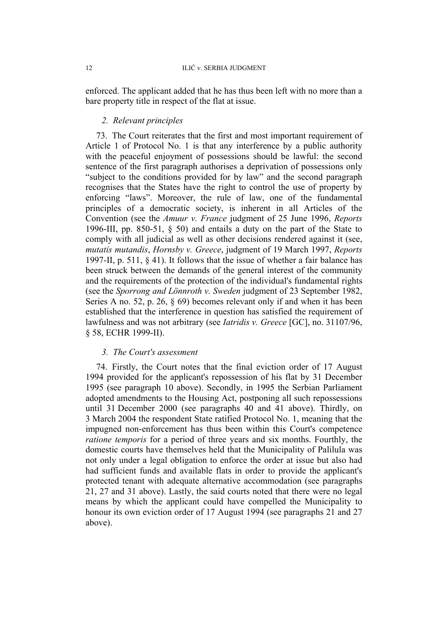enforced. The applicant added that he has thus been left with no more than a bare property title in respect of the flat at issue.

## *2. Relevant principles*

73. The Court reiterates that the first and most important requirement of Article 1 of Protocol No. 1 is that any interference by a public authority with the peaceful enjoyment of possessions should be lawful: the second sentence of the first paragraph authorises a deprivation of possessions only "subject to the conditions provided for by law" and the second paragraph recognises that the States have the right to control the use of property by enforcing "laws". Moreover, the rule of law, one of the fundamental principles of a democratic society, is inherent in all Articles of the Convention (see the *Amuur v. France* judgment of 25 June 1996, *Reports*  1996-III, pp. 850-51, § 50) and entails a duty on the part of the State to comply with all judicial as well as other decisions rendered against it (see, *mutatis mutandis*, *Hornsby v. Greece*, judgment of 19 March 1997, *Reports*  1997-II, p. 511, § 41). It follows that the issue of whether a fair balance has been struck between the demands of the general interest of the community and the requirements of the protection of the individual's fundamental rights (see the *Sporrong and Lönnroth v. Sweden* judgment of 23 September 1982, Series A no. 52, p. 26, § 69) becomes relevant only if and when it has been established that the interference in question has satisfied the requirement of lawfulness and was not arbitrary (see *Iatridis v. Greece* [GC], no. 31107/96, § 58, ECHR 1999-II).

## *3. The Court's assessment*

74. Firstly, the Court notes that the final eviction order of 17 August 1994 provided for the applicant's repossession of his flat by 31 December 1995 (see paragraph 10 above). Secondly, in 1995 the Serbian Parliament adopted amendments to the Housing Act, postponing all such repossessions until 31 December 2000 (see paragraphs 40 and 41 above). Thirdly, on 3 March 2004 the respondent State ratified Protocol No. 1, meaning that the impugned non-enforcement has thus been within this Court's competence *ratione temporis* for a period of three years and six months. Fourthly, the domestic courts have themselves held that the Municipality of Palilula was not only under a legal obligation to enforce the order at issue but also had had sufficient funds and available flats in order to provide the applicant's protected tenant with adequate alternative accommodation (see paragraphs 21, 27 and 31 above). Lastly, the said courts noted that there were no legal means by which the applicant could have compelled the Municipality to honour its own eviction order of 17 August 1994 (see paragraphs 21 and 27 above).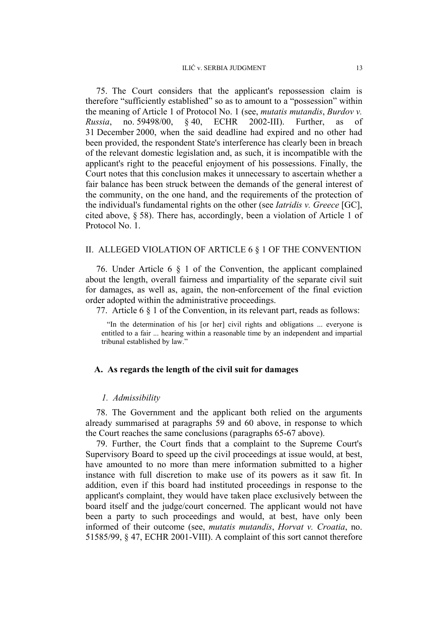75. The Court considers that the applicant's repossession claim is therefore "sufficiently established" so as to amount to a "possession" within the meaning of Article 1 of Protocol No. 1 (see, *mutatis mutandis*, *Burdov v. Russia*, no. 59498/00, § 40, ECHR 2002-III). Further, as of 31 December 2000, when the said deadline had expired and no other had been provided, the respondent State's interference has clearly been in breach of the relevant domestic legislation and, as such, it is incompatible with the applicant's right to the peaceful enjoyment of his possessions. Finally, the Court notes that this conclusion makes it unnecessary to ascertain whether a fair balance has been struck between the demands of the general interest of the community, on the one hand, and the requirements of the protection of the individual's fundamental rights on the other (see *Iatridis v. Greece* [GC], cited above, § 58). There has, accordingly, been a violation of Article 1 of Protocol No. 1.

#### II. ALLEGED VIOLATION OF ARTICLE 6 § 1 OF THE CONVENTION

76. Under Article 6 § 1 of the Convention, the applicant complained about the length, overall fairness and impartiality of the separate civil suit for damages, as well as, again, the non-enforcement of the final eviction order adopted within the administrative proceedings.

77. Article 6 § 1 of the Convention, in its relevant part, reads as follows:

"In the determination of his [or her] civil rights and obligations ... everyone is entitled to a fair ... hearing within a reasonable time by an independent and impartial tribunal established by law."

#### **A. As regards the length of the civil suit for damages**

#### *1. Admissibility*

78. The Government and the applicant both relied on the arguments already summarised at paragraphs 59 and 60 above, in response to which the Court reaches the same conclusions (paragraphs 65-67 above).

79. Further, the Court finds that a complaint to the Supreme Court's Supervisory Board to speed up the civil proceedings at issue would, at best, have amounted to no more than mere information submitted to a higher instance with full discretion to make use of its powers as it saw fit. In addition, even if this board had instituted proceedings in response to the applicant's complaint, they would have taken place exclusively between the board itself and the judge/court concerned. The applicant would not have been a party to such proceedings and would, at best, have only been informed of their outcome (see, *mutatis mutandis*, *Horvat v. Croatia*, no. 51585/99, § 47, ECHR 2001-VIII). A complaint of this sort cannot therefore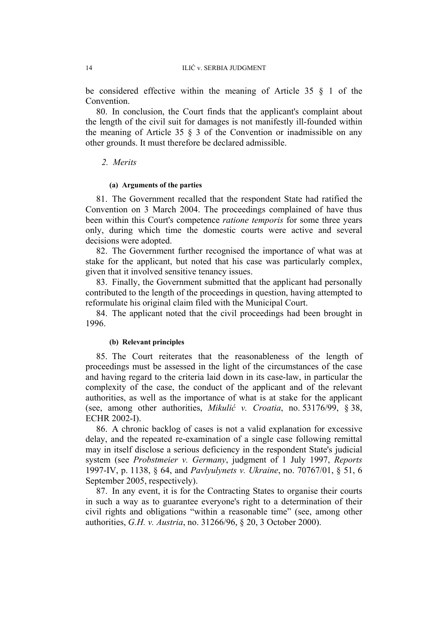be considered effective within the meaning of Article 35 § 1 of the Convention.

80. In conclusion, the Court finds that the applicant's complaint about the length of the civil suit for damages is not manifestly ill-founded within the meaning of Article 35  $\S$  3 of the Convention or inadmissible on any other grounds. It must therefore be declared admissible.

## *2. Merits*

#### **(a) Arguments of the parties**

81. The Government recalled that the respondent State had ratified the Convention on 3 March 2004. The proceedings complained of have thus been within this Court's competence *ratione temporis* for some three years only, during which time the domestic courts were active and several decisions were adopted.

82. The Government further recognised the importance of what was at stake for the applicant, but noted that his case was particularly complex, given that it involved sensitive tenancy issues.

83. Finally, the Government submitted that the applicant had personally contributed to the length of the proceedings in question, having attempted to reformulate his original claim filed with the Municipal Court.

84. The applicant noted that the civil proceedings had been brought in 1996.

## **(b) Relevant principles**

85. The Court reiterates that the reasonableness of the length of proceedings must be assessed in the light of the circumstances of the case and having regard to the criteria laid down in its case-law, in particular the complexity of the case, the conduct of the applicant and of the relevant authorities, as well as the importance of what is at stake for the applicant (see, among other authorities, *Mikulić v. Croatia*, no. 53176/99, § 38, ECHR 2002-I).

86. A chronic backlog of cases is not a valid explanation for excessive delay, and the repeated re-examination of a single case following remittal may in itself disclose a serious deficiency in the respondent State's judicial system (see *Probstmeier v. Germany*, judgment of 1 July 1997, *Reports*  1997-IV, p. 1138, § 64, and *Pavlyulynets v. Ukraine*, no. 70767/01, § 51, 6 September 2005, respectively).

87. In any event, it is for the Contracting States to organise their courts in such a way as to guarantee everyone's right to a determination of their civil rights and obligations "within a reasonable time" (see, among other authorities, *G.H. v. Austria*, no. 31266/96, § 20, 3 October 2000).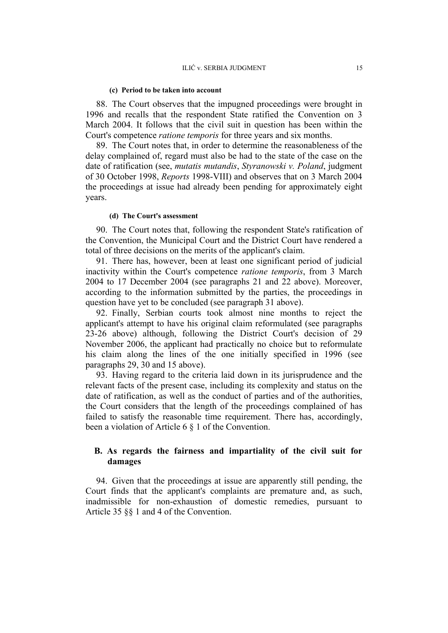#### **(c) Period to be taken into account**

88. The Court observes that the impugned proceedings were brought in 1996 and recalls that the respondent State ratified the Convention on 3 March 2004. It follows that the civil suit in question has been within the Court's competence *ratione temporis* for three years and six months.

89. The Court notes that, in order to determine the reasonableness of the delay complained of, regard must also be had to the state of the case on the date of ratification (see, *mutatis mutandis*, *Styranowski v. Poland*, judgment of 30 October 1998, *Reports* 1998-VIII) and observes that on 3 March 2004 the proceedings at issue had already been pending for approximately eight years.

#### **(d) The Court's assessment**

90. The Court notes that, following the respondent State's ratification of the Convention, the Municipal Court and the District Court have rendered a total of three decisions on the merits of the applicant's claim.

91. There has, however, been at least one significant period of judicial inactivity within the Court's competence *ratione temporis*, from 3 March 2004 to 17 December 2004 (see paragraphs 21 and 22 above). Moreover, according to the information submitted by the parties, the proceedings in question have yet to be concluded (see paragraph 31 above).

92. Finally, Serbian courts took almost nine months to reject the applicant's attempt to have his original claim reformulated (see paragraphs 23-26 above) although, following the District Court's decision of 29 November 2006, the applicant had practically no choice but to reformulate his claim along the lines of the one initially specified in 1996 (see paragraphs 29, 30 and 15 above).

93. Having regard to the criteria laid down in its jurisprudence and the relevant facts of the present case, including its complexity and status on the date of ratification, as well as the conduct of parties and of the authorities, the Court considers that the length of the proceedings complained of has failed to satisfy the reasonable time requirement. There has, accordingly, been a violation of Article 6 § 1 of the Convention.

## **B. As regards the fairness and impartiality of the civil suit for damages**

94. Given that the proceedings at issue are apparently still pending, the Court finds that the applicant's complaints are premature and, as such, inadmissible for non-exhaustion of domestic remedies, pursuant to Article 35 §§ 1 and 4 of the Convention.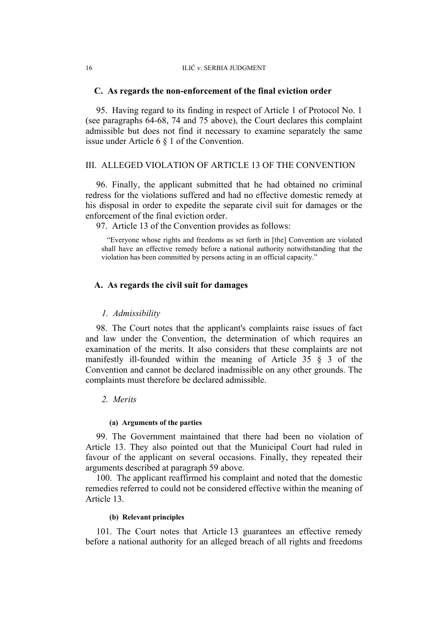#### **C. As regards the non-enforcement of the final eviction order**

95. Having regard to its finding in respect of Article 1 of Protocol No. 1 (see paragraphs 64-68, 74 and 75 above), the Court declares this complaint admissible but does not find it necessary to examine separately the same issue under Article 6 § 1 of the Convention.

#### III. ALLEGED VIOLATION OF ARTICLE 13 OF THE CONVENTION

96. Finally, the applicant submitted that he had obtained no criminal redress for the violations suffered and had no effective domestic remedy at his disposal in order to expedite the separate civil suit for damages or the enforcement of the final eviction order.

97. Article 13 of the Convention provides as follows:

"Everyone whose rights and freedoms as set forth in [the] Convention are violated shall have an effective remedy before a national authority notwithstanding that the violation has been committed by persons acting in an official capacity."

## **A. As regards the civil suit for damages**

#### *1. Admissibility*

98. The Court notes that the applicant's complaints raise issues of fact and law under the Convention, the determination of which requires an examination of the merits. It also considers that these complaints are not manifestly ill-founded within the meaning of Article 35 § 3 of the Convention and cannot be declared inadmissible on any other grounds. The complaints must therefore be declared admissible.

## *2. Merits*

#### **(a) Arguments of the parties**

99. The Government maintained that there had been no violation of Article 13. They also pointed out that the Municipal Court had ruled in favour of the applicant on several occasions. Finally, they repeated their arguments described at paragraph 59 above.

100. The applicant reaffirmed his complaint and noted that the domestic remedies referred to could not be considered effective within the meaning of Article 13.

#### **(b) Relevant principles**

101. The Court notes that Article 13 guarantees an effective remedy before a national authority for an alleged breach of all rights and freedoms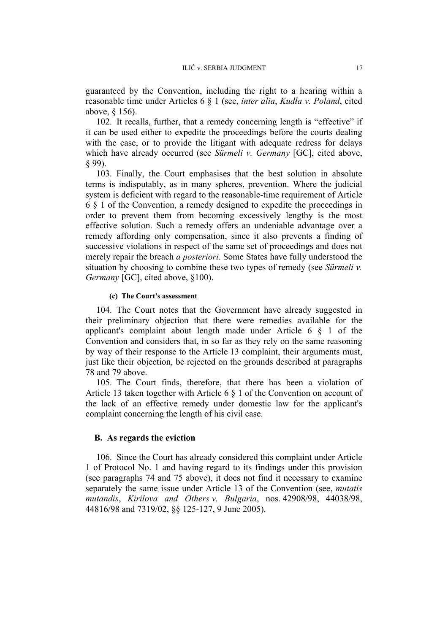guaranteed by the Convention, including the right to a hearing within a reasonable time under Articles 6 § 1 (see, *inter alia*, *Kudła v. Poland*, cited above, § 156).

102. It recalls, further, that a remedy concerning length is "effective" if it can be used either to expedite the proceedings before the courts dealing with the case, or to provide the litigant with adequate redress for delays which have already occurred (see *Sürmeli v. Germany* [GC], cited above, § 99).

103. Finally, the Court emphasises that the best solution in absolute terms is indisputably, as in many spheres, prevention. Where the judicial system is deficient with regard to the reasonable-time requirement of Article 6 § 1 of the Convention, a remedy designed to expedite the proceedings in order to prevent them from becoming excessively lengthy is the most effective solution. Such a remedy offers an undeniable advantage over a remedy affording only compensation, since it also prevents a finding of successive violations in respect of the same set of proceedings and does not merely repair the breach *a posteriori*. Some States have fully understood the situation by choosing to combine these two types of remedy (see *Sürmeli v. Germany* [GC], cited above, §100).

#### **(c) The Court's assessment**

104. The Court notes that the Government have already suggested in their preliminary objection that there were remedies available for the applicant's complaint about length made under Article 6 § 1 of the Convention and considers that, in so far as they rely on the same reasoning by way of their response to the Article 13 complaint, their arguments must, just like their objection, be rejected on the grounds described at paragraphs 78 and 79 above.

105. The Court finds, therefore, that there has been a violation of Article 13 taken together with Article 6 § 1 of the Convention on account of the lack of an effective remedy under domestic law for the applicant's complaint concerning the length of his civil case.

#### **B. As regards the eviction**

106. Since the Court has already considered this complaint under Article 1 of Protocol No. 1 and having regard to its findings under this provision (see paragraphs 74 and 75 above), it does not find it necessary to examine separately the same issue under Article 13 of the Convention (see, *mutatis mutandis*, *Kirilova and Others v. Bulgaria*, nos. 42908/98, 44038/98, 44816/98 and 7319/02, §§ 125-127, 9 June 2005).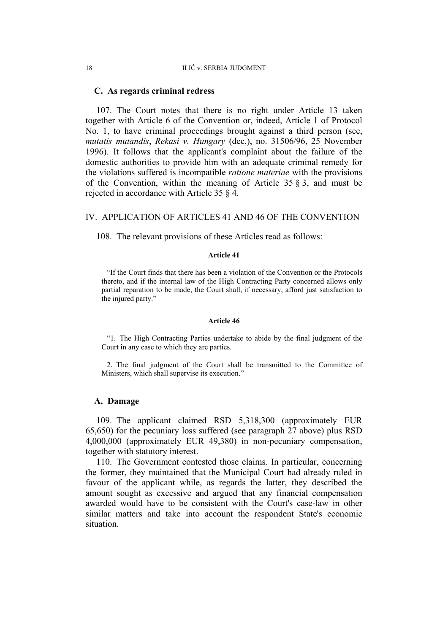#### **C. As regards criminal redress**

107. The Court notes that there is no right under Article 13 taken together with Article 6 of the Convention or, indeed, Article 1 of Protocol No. 1, to have criminal proceedings brought against a third person (see, *mutatis mutandis*, *Rekasi v. Hungary* (dec.), no. 31506/96, 25 November 1996). It follows that the applicant's complaint about the failure of the domestic authorities to provide him with an adequate criminal remedy for the violations suffered is incompatible *ratione materiae* with the provisions of the Convention, within the meaning of Article 35 § 3, and must be rejected in accordance with Article 35 § 4.

#### IV. APPLICATION OF ARTICLES 41 AND 46 OF THE CONVENTION

108. The relevant provisions of these Articles read as follows:

#### **Article 41**

"If the Court finds that there has been a violation of the Convention or the Protocols thereto, and if the internal law of the High Contracting Party concerned allows only partial reparation to be made, the Court shall, if necessary, afford just satisfaction to the injured party."

#### **Article 46**

"1. The High Contracting Parties undertake to abide by the final judgment of the Court in any case to which they are parties.

2. The final judgment of the Court shall be transmitted to the Committee of Ministers, which shall supervise its execution."

#### **A. Damage**

109. The applicant claimed RSD 5,318,300 (approximately EUR 65,650) for the pecuniary loss suffered (see paragraph 27 above) plus RSD 4,000,000 (approximately EUR 49,380) in non-pecuniary compensation, together with statutory interest.

110. The Government contested those claims. In particular, concerning the former, they maintained that the Municipal Court had already ruled in favour of the applicant while, as regards the latter, they described the amount sought as excessive and argued that any financial compensation awarded would have to be consistent with the Court's case-law in other similar matters and take into account the respondent State's economic situation.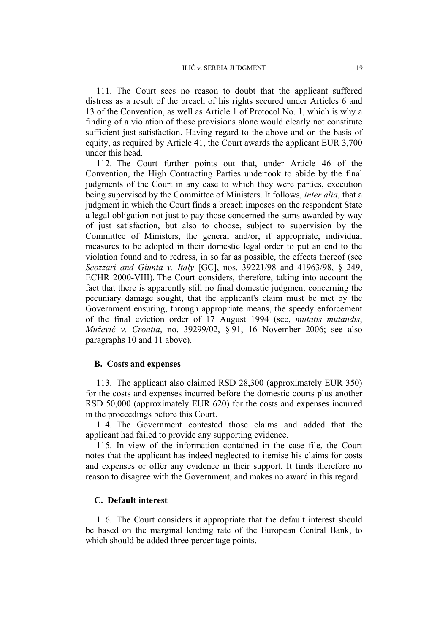111. The Court sees no reason to doubt that the applicant suffered distress as a result of the breach of his rights secured under Articles 6 and 13 of the Convention, as well as Article 1 of Protocol No. 1, which is why a finding of a violation of those provisions alone would clearly not constitute sufficient just satisfaction. Having regard to the above and on the basis of equity, as required by Article 41, the Court awards the applicant EUR 3,700 under this head.

112. The Court further points out that, under Article 46 of the Convention, the High Contracting Parties undertook to abide by the final judgments of the Court in any case to which they were parties, execution being supervised by the Committee of Ministers. It follows, *inter alia*, that a judgment in which the Court finds a breach imposes on the respondent State a legal obligation not just to pay those concerned the sums awarded by way of just satisfaction, but also to choose, subject to supervision by the Committee of Ministers, the general and/or, if appropriate, individual measures to be adopted in their domestic legal order to put an end to the violation found and to redress, in so far as possible, the effects thereof (see *Scozzari and Giunta v. Italy* [GC], nos. 39221/98 and 41963/98, § 249, ECHR 2000-VIII). The Court considers, therefore, taking into account the fact that there is apparently still no final domestic judgment concerning the pecuniary damage sought, that the applicant's claim must be met by the Government ensuring, through appropriate means, the speedy enforcement of the final eviction order of 17 August 1994 (see, *mutatis mutandis*, *Mužević v. Croatia*, no. 39299/02, § 91, 16 November 2006; see also paragraphs 10 and 11 above).

#### **B. Costs and expenses**

113. The applicant also claimed RSD 28,300 (approximately EUR 350) for the costs and expenses incurred before the domestic courts plus another RSD 50,000 (approximately EUR 620) for the costs and expenses incurred in the proceedings before this Court.

114. The Government contested those claims and added that the applicant had failed to provide any supporting evidence.

115. In view of the information contained in the case file, the Court notes that the applicant has indeed neglected to itemise his claims for costs and expenses or offer any evidence in their support. It finds therefore no reason to disagree with the Government, and makes no award in this regard.

## **C. Default interest**

116. The Court considers it appropriate that the default interest should be based on the marginal lending rate of the European Central Bank, to which should be added three percentage points.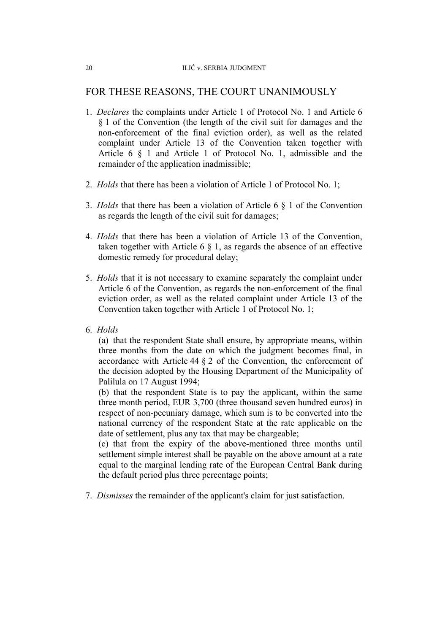# FOR THESE REASONS, THE COURT UNANIMOUSLY

- 1. *Declares* the complaints under Article 1 of Protocol No. 1 and Article 6 § 1 of the Convention (the length of the civil suit for damages and the non-enforcement of the final eviction order), as well as the related complaint under Article 13 of the Convention taken together with Article 6 § 1 and Article 1 of Protocol No. 1, admissible and the remainder of the application inadmissible;
- 2. *Holds* that there has been a violation of Article 1 of Protocol No. 1;
- 3. *Holds* that there has been a violation of Article 6 § 1 of the Convention as regards the length of the civil suit for damages;
- 4. *Holds* that there has been a violation of Article 13 of the Convention, taken together with Article 6  $\S$  1, as regards the absence of an effective domestic remedy for procedural delay;
- 5. *Holds* that it is not necessary to examine separately the complaint under Article 6 of the Convention, as regards the non-enforcement of the final eviction order, as well as the related complaint under Article 13 of the Convention taken together with Article 1 of Protocol No. 1;
- 6. *Holds*

(a) that the respondent State shall ensure, by appropriate means, within three months from the date on which the judgment becomes final, in accordance with Article 44 § 2 of the Convention, the enforcement of the decision adopted by the Housing Department of the Municipality of Palilula on 17 August 1994;

(b) that the respondent State is to pay the applicant, within the same three month period, EUR 3,700 (three thousand seven hundred euros) in respect of non-pecuniary damage, which sum is to be converted into the national currency of the respondent State at the rate applicable on the date of settlement, plus any tax that may be chargeable;

(c) that from the expiry of the above-mentioned three months until settlement simple interest shall be payable on the above amount at a rate equal to the marginal lending rate of the European Central Bank during the default period plus three percentage points;

7. *Dismisses* the remainder of the applicant's claim for just satisfaction.